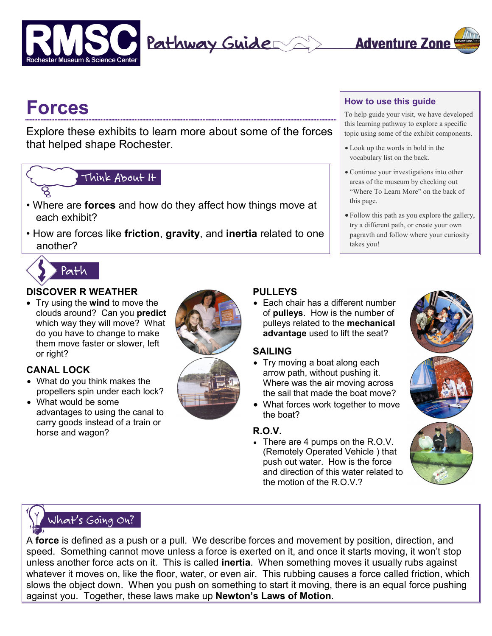



# **Forces**

Explore these exhibits to learn more about some of the forces that helped shape Rochester.

## Think About It

- Where are **forces** and how do they affect how things move at each exhibit?
- How are forces like **friction**, **gravity**, and **inertia** related to one another?

#### **How to use this guide**

To help guide your visit, we have developed this learning pathway to explore a specific topic using some of the exhibit components.

- Look up the words in bold in the vocabulary list on the back.
- Continue your investigations into other areas of the museum by checking out "Where To Learn More" on the back of this page.
- Follow this path as you explore the gallery, try a different path, or create your own pagravth and follow where your curiosity takes you!



#### **DISCOVER R WEATHER**

• Try using the **wind** to move the clouds around? Can you **predict** which way they will move? What do you have to change to make them move faster or slower, left or right?

## **CANAL LOCK**

- What do you think makes the propellers spin under each lock?
- What would be some advantages to using the canal to carry goods instead of a train or horse and wagon?





#### **PULLEYS**

• Each chair has a different number of **pulleys**. How is the number of pulleys related to the **mechanical advantage** used to lift the seat?

#### **SAILING**

- Try moving a boat along each arrow path, without pushing it. Where was the air moving across the sail that made the boat move?
- What forces work together to move the boat?

#### **R.O.V.**

• There are 4 pumps on the R.O.V. (Remotely Operated Vehicle ) that push out water. How is the force and direction of this water related to the motion of the R.O.V.?



# What's Going On?

A **force** is defined as a push or a pull. We describe forces and movement by position, direction, and speed. Something cannot move unless a force is exerted on it, and once it starts moving, it won't stop unless another force acts on it. This is called **inertia**. When something moves it usually rubs against whatever it moves on, like the floor, water, or even air. This rubbing causes a force called friction, which slows the object down. When you push on something to start it moving, there is an equal force pushing against you. Together, these laws make up **Newton's Laws of Motion**.